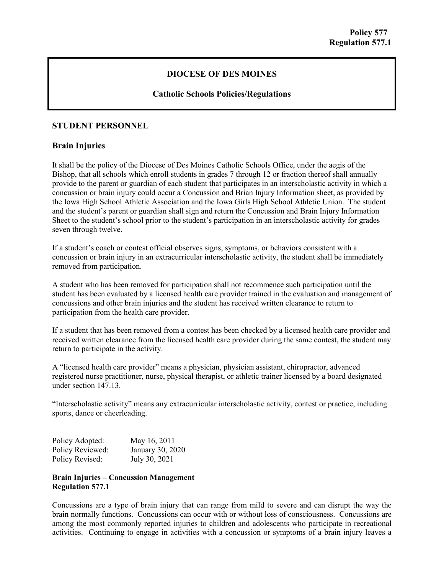# **DIOCESE OF DES MOINES**

## **Catholic Schools Policies/Regulations**

## **STUDENT PERSONNEL**

#### **Brain Injuries**

It shall be the policy of the Diocese of Des Moines Catholic Schools Office, under the aegis of the Bishop, that all schools which enroll students in grades 7 through 12 or fraction thereof shall annually provide to the parent or guardian of each student that participates in an interscholastic activity in which a concussion or brain injury could occur a Concussion and Brian Injury Information sheet, as provided by the Iowa High School Athletic Association and the Iowa Girls High School Athletic Union. The student and the student's parent or guardian shall sign and return the Concussion and Brain Injury Information Sheet to the student's school prior to the student's participation in an interscholastic activity for grades seven through twelve.

If a student's coach or contest official observes signs, symptoms, or behaviors consistent with a concussion or brain injury in an extracurricular interscholastic activity, the student shall be immediately removed from participation.

A student who has been removed for participation shall not recommence such participation until the student has been evaluated by a licensed health care provider trained in the evaluation and management of concussions and other brain injuries and the student has received written clearance to return to participation from the health care provider.

If a student that has been removed from a contest has been checked by a licensed health care provider and received written clearance from the licensed health care provider during the same contest, the student may return to participate in the activity.

A "licensed health care provider" means a physician, physician assistant, chiropractor, advanced registered nurse practitioner, nurse, physical therapist, or athletic trainer licensed by a board designated under section 147.13.

"Interscholastic activity" means any extracurricular interscholastic activity, contest or practice, including sports, dance or cheerleading.

| Policy Adopted:  | May 16, 2011     |
|------------------|------------------|
| Policy Reviewed: | January 30, 2020 |
| Policy Revised:  | July 30, 2021    |

#### **Brain Injuries – Concussion Management Regulation 577.1**

Concussions are a type of brain injury that can range from mild to severe and can disrupt the way the brain normally functions. Concussions can occur with or without loss of consciousness. Concussions are among the most commonly reported injuries to children and adolescents who participate in recreational activities. Continuing to engage in activities with a concussion or symptoms of a brain injury leaves a